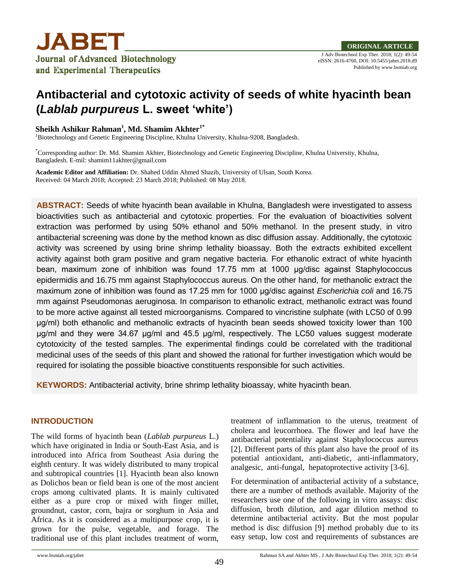

eISSN: 2616-4760, DOI: 10.5455/jabet.2018.d9 Published by www.bsmiab.org

# **Antibacterial and cytotoxic activity of seeds of white hyacinth bean (***Lablab purpureus* **L. sweet 'white')**

# **Sheikh Ashikur Rahman<sup>1</sup> , Md. Shamim Akhter1\***

<sup>1</sup>Biotechnology and Genetic Engineering Discipline, Khulna University, Khulna-9208, Bangladesh.

\*Corresponding author: Dr. Md. Shamim Akhter, Biotechnology and Genetic Engineering Discipline, Khulna University, Khulna, Bangladesh. E-mil: shamim11akhter@gmail.com

**Academic Editor and Affiliation:** Dr. Shahed Uddin Ahmed Shazib, University of Ulsan, South Korea. Received: 04 March 2018; Accepted: 23 March 2018; Published: 08 May 2018.

**ABSTRACT:** Seeds of white hyacinth bean available in Khulna, Bangladesh were investigated to assess bioactivities such as antibacterial and cytotoxic properties. For the evaluation of bioactivities solvent extraction was performed by using 50% ethanol and 50% methanol. In the present study, in vitro antibacterial screening was done by the method known as disc diffusion assay. Additionally, the cytotoxic activity was screened by using brine shrimp lethality bioassay. Both the extracts exhibited excellent activity against both gram positive and gram negative bacteria. For ethanolic extract of white hyacinth bean, maximum zone of inhibition was found 17.75 mm at 1000 μg/disc against Staphylococcus epidermidis and 16.75 mm against Staphylococcus aureus. On the other hand, for methanolic extract the maximum zone of inhibition was found as 17.25 mm for 1000 μg/disc against *Escherichia coli* and 16.75 mm against Pseudomonas aeruginosa. In comparison to ethanolic extract, methanolic extract was found to be more active against all tested microorganisms. Compared to vincristine sulphate (with LC50 of 0.99 μg/ml) both ethanolic and methanolic extracts of hyacinth bean seeds showed toxicity lower than 100 μg/ml and they were 34.67 μg/ml and 45.5 μg/ml, respectively. The LC50 values suggest moderate cytotoxicity of the tested samples. The experimental findings could be correlated with the traditional medicinal uses of the seeds of this plant and showed the rational for further investigation which would be required for isolating the possible bioactive constituents responsible for such activities.

**KEYWORDS:** Antibacterial activity, brine shrimp lethality bioassay, white hyacinth bean.

# **INTRODUCTION**

The wild forms of hyacinth bean (*Lablab purpureus* L.) which have originated in India or South-East Asia, and is introduced into Africa from Southeast Asia during the eighth century. It was widely distributed to many tropical and subtropical countries [1]. Hyacinth bean also known as Dolichos bean or field bean is one of the most ancient crops among cultivated plants. It is mainly cultivated either as a pure crop or mixed with finger millet, groundnut, castor, corn, bajra or sorghum in Asia and Africa. As it is considered as a multipurpose crop, it is grown for the pulse, vegetable, and forage. The traditional use of this plant includes treatment of worm,

treatment of inflammation to the uterus, treatment of cholera and leucorrhoea. The flower and leaf have the antibacterial potentiality against Staphylococcus aureus [2]. Different parts of this plant also have the proof of its potential antioxidant, anti-diabetic, anti-inflammatory, analgesic, anti-fungal, hepatoprotective activity [3-6].

For determination of antibacterial activity of a substance, there are a number of methods available. Majority of the researchers use one of the following in vitro assays: disc diffusion, broth dilution, and agar dilution method to determine antibacterial activity. But the most popular method is disc diffusion [9] method probably due to its easy setup, low cost and requirements of substances are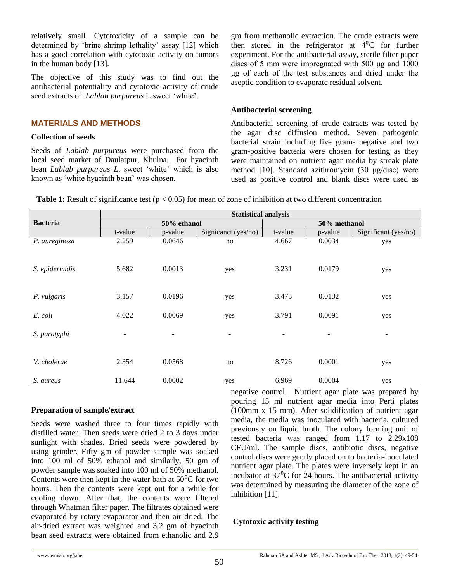relatively small. Cytotoxicity of a sample can be determined by 'brine shrimp lethality' assay [12] which has a good correlation with cytotoxic activity on tumors in the human body [13].

The objective of this study was to find out the antibacterial potentiality and cytotoxic activity of crude seed extracts of *Lablab purpureus* L.sweet 'white'.

# **MATERIALS AND METHODS**

#### **Collection of seeds**

Seeds of *Lablab purpureus* were purchased from the local seed market of Daulatpur, Khulna. For hyacinth bean *Lablab purpureus L*. sweet 'white' which is also known as 'white hyacinth bean' was chosen.

gm from methanolic extraction. The crude extracts were then stored in the refrigerator at  $4^{0}C$  for further experiment. For the antibacterial assay, sterile filter paper discs of 5 mm were impregnated with 500 μg and 1000 μg of each of the test substances and dried under the aseptic condition to evaporate residual solvent.

# **Antibacterial screening**

Antibacterial screening of crude extracts was tested by the agar disc diffusion method. Seven pathogenic bacterial strain including five gram- negative and two gram-positive bacteria were chosen for testing as they were maintained on nutrient agar media by streak plate method [10]. Standard azithromycin (30 μg/disc) were used as positive control and blank discs were used as

**Table 1:** Result of significance test ( $p < 0.05$ ) for mean of zone of inhibition at two different concentration

|                 | <b>Statistical analysis</b> |                          |                          |                |         |                          |  |  |
|-----------------|-----------------------------|--------------------------|--------------------------|----------------|---------|--------------------------|--|--|
| <b>Bacteria</b> |                             | 50% ethanol              |                          | 50% methanol   |         |                          |  |  |
|                 | t-value                     | p-value                  | Signicanct (yes/no)      | t-value        | p-value | Significant (yes/no)     |  |  |
| P. aureginosa   | 2.259                       | 0.0646                   | no                       | 4.667          | 0.0034  | yes                      |  |  |
| S. epidermidis  | 5.682                       | 0.0013                   | yes                      | 3.231          | 0.0179  | yes                      |  |  |
| P. vulgaris     | 3.157                       | 0.0196                   | yes                      | 3.475          | 0.0132  | yes                      |  |  |
| E. coli         | 4.022                       | 0.0069                   | yes                      | 3.791          | 0.0091  | yes                      |  |  |
| S. paratyphi    | $\overline{\phantom{a}}$    | $\overline{\phantom{a}}$ | $\overline{\phantom{a}}$ | $\overline{a}$ |         | $\overline{\phantom{a}}$ |  |  |
| V. cholerae     | 2.354                       | 0.0568                   | no                       | 8.726          | 0.0001  | yes                      |  |  |
| S. aureus       | 11.644                      | 0.0002                   | yes                      | 6.969          | 0.0004  | yes                      |  |  |

### **Preparation of sample/extract**

Seeds were washed three to four times rapidly with distilled water. Then seeds were dried 2 to 3 days under sunlight with shades. Dried seeds were powdered by using grinder. Fifty gm of powder sample was soaked into 100 ml of 50% ethanol and similarly, 50 gm of powder sample was soaked into 100 ml of 50% methanol. Contents were then kept in the water bath at  $50^{\circ}$ C for two hours. Then the contents were kept out for a while for cooling down. After that, the contents were filtered through Whatman filter paper. The filtrates obtained were evaporated by rotary evaporator and then air dried. The air-dried extract was weighted and 3.2 gm of hyacinth bean seed extracts were obtained from ethanolic and 2.9

negative control. Nutrient agar plate was prepared by pouring 15 ml nutrient agar media into Perti plates (100mm x 15 mm). After solidification of nutrient agar media, the media was inoculated with bacteria, cultured previously on liquid broth. The colony forming unit of tested bacteria was ranged from 1.17 to 2.29x108 CFU/ml. The sample discs, antibiotic discs, negative control discs were gently placed on to bacteria-inoculated nutrient agar plate. The plates were inversely kept in an incubator at  $37^{\circ}$ C for 24 hours. The antibacterial activity was determined by measuring the diameter of the zone of inhibition [11].

# **Cytotoxic activity testing**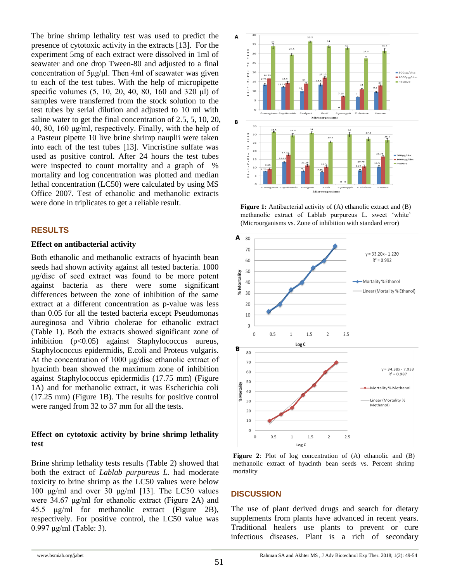The brine shrimp lethality test was used to predict the presence of cytotoxic activity in the extracts [13]. For the experiment 5mg of each extract were dissolved in 1ml of seawater and one drop Tween-80 and adjusted to a final concentration of 5μg/μl. Then 4ml of seawater was given to each of the test tubes. With the help of micropipette specific volumes (5, 10, 20, 40, 80, 160 and 320 μl) of samples were transferred from the stock solution to the test tubes by serial dilution and adjusted to 10 ml with saline water to get the final concentration of 2.5, 5, 10, 20, 40, 80, 160 μg/ml, respectively. Finally, with the help of a Pasteur pipette 10 live brine shrimp nauplii were taken into each of the test tubes [13]. Vincristine sulfate was used as positive control. After 24 hours the test tubes were inspected to count mortality and a graph of % mortality and log concentration was plotted and median lethal concentration (LC50) were calculated by using MS Office 2007. Test of ethanolic and methanolic extracts were done in triplicates to get a reliable result.

### **RESULTS**

#### **Effect on antibacterial activity**

Both ethanolic and methanolic extracts of hyacinth bean seeds had shown activity against all tested bacteria. 1000 μg/disc of seed extract was found to be more potent against bacteria as there were some significant differences between the zone of inhibition of the same extract at a different concentration as p-value was less than 0.05 for all the tested bacteria except Pseudomonas aureginosa and Vibrio cholerae for ethanolic extract (Table 1). Both the extracts showed significant zone of inhibition (p<0.05) against Staphylococcus aureus, Staphylococcus epidermidis, E.coli and Proteus vulgaris. At the concentration of 1000 μg/disc ethanolic extract of hyacinth bean showed the maximum zone of inhibition against Staphylococcus epidermidis (17.75 mm) (Figure 1A) and for methanolic extract, it was Escherichia coli (17.25 mm) (Figure 1B). The results for positive control were ranged from 32 to 37 mm for all the tests.

### **Effect on cytotoxic activity by brine shrimp lethality test**

Brine shrimp lethality tests results (Table 2) showed that both the extract of *Lablab purpureus L.* had moderate toxicity to brine shrimp as the LC50 values were below 100 μg/ml and over 30 μg/ml [13]. The LC50 values were 34.67 μg/ml for ethanolic extract (Figure 2A) and 45.5 μg/ml for methanolic extract (Figure 2B), respectively. For positive control, the LC50 value was 0.997 μg/ml (Table: 3).



**Figure 1:** Antibacterial activity of (A) ethanolic extract and (B) methanolic extract of Lablab purpureus L. sweet 'white' (Microorganisms vs. Zone of inhibition with standard error)



**Figure 2**: Plot of log concentration of (A) ethanolic and (B) methanolic extract of hyacinth bean seeds vs. Percent shrimp mortality

### **DISCUSSION**

The use of plant derived drugs and search for dietary supplements from plants have advanced in recent years. Traditional healers use plants to prevent or cure infectious diseases. Plant is a rich of secondary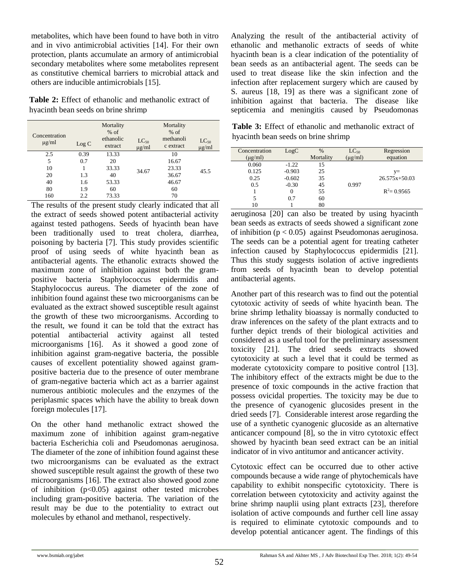metabolites, which have been found to have both in vitro and in vivo antimicrobial activities [14]. For their own protection, plants accumulate an armory of antimicrobial secondary metabolites where some metabolites represent as constitutive chemical barriers to microbial attack and others are inducible antimicrobials [15].

**Table 2:** Effect of ethanolic and methanolic extract of hyacinth bean seeds on brine shrimp

| Concentration<br>$\mu$ g/ml | Log C | Mortality<br>$%$ of<br>ethanolic<br>extract | $LC_{50}$<br>$\mu$ g/ml | Mortality<br>$%$ of<br>methanoli<br>c extract | $LC_{50}$<br>$\mu$ g/ml |
|-----------------------------|-------|---------------------------------------------|-------------------------|-----------------------------------------------|-------------------------|
| 2.5                         | 0.39  | 13.33                                       |                         | 10                                            |                         |
| 5                           | 0.7   | 20                                          |                         | 16.67                                         |                         |
| 10                          |       | 33.33                                       | 34.67                   | 23.33                                         | 45.5                    |
| 20                          | 1.3   | 40                                          |                         | 36.67                                         |                         |
| 40                          | 1.6   | 53.33                                       |                         | 46.67                                         |                         |
| 80                          | 1.9   | 60                                          |                         | 60                                            |                         |
| 160                         | 2.2   | 73.33                                       |                         | 70                                            |                         |

The results of the present study clearly indicated that all the extract of seeds showed potent antibacterial activity against tested pathogens. Seeds of hyacinth bean have been traditionally used to treat cholera, diarrhea, poisoning by bacteria [7]. This study provides scientific proof of using seeds of white hyacinth bean as antibacterial agents. The ethanolic extracts showed the maximum zone of inhibition against both the grampositive bacteria Staphylococcus epidermidis and Staphylococcus aureus. The diameter of the zone of inhibition found against these two microorganisms can be evaluated as the extract showed susceptible result against the growth of these two microorganisms. According to the result, we found it can be told that the extract has potential antibacterial activity against all tested microorganisms [16]. As it showed a good zone of inhibition against gram-negative bacteria, the possible causes of excellent potentiality showed against grampositive bacteria due to the presence of outer membrane of gram-negative bacteria which act as a barrier against numerous antibiotic molecules and the enzymes of the periplasmic spaces which have the ability to break down foreign molecules [17].

On the other hand methanolic extract showed the maximum zone of inhibition against gram-negative bacteria Escherichia coli and Pseudomonas aeruginosa. The diameter of the zone of inhibition found against these two microorganisms can be evaluated as the extract showed susceptible result against the growth of these two microorganisms [16]. The extract also showed good zone of inhibition  $(p<0.05)$  against other tested microbes including gram-positive bacteria. The variation of the result may be due to the potentiality to extract out molecules by ethanol and methanol, respectively.

Analyzing the result of the antibacterial activity of ethanolic and methanolic extracts of seeds of white hyacinth bean is a clear indication of the potentiality of bean seeds as an antibacterial agent. The seeds can be used to treat disease like the skin infection and the infection after replacement surgery which are caused by S. aureus [18, 19] as there was a significant zone of inhibition against that bacteria. The disease like septicemia and meningitis caused by Pseudomonas

**Table 3:** Effect of ethanolic and methanolic extract of hyacinth bean seeds on brine shrimp

| Concentration | LogC     | $\%$      | $LC_{50}$   | Regression      |
|---------------|----------|-----------|-------------|-----------------|
| $(\mu g/ml)$  |          | Mortality | $\mu$ g/ml) | equation        |
| 0.060         | $-1.22$  | 15        |             |                 |
| 0.125         | $-0.903$ | 25        |             | $V =$           |
| 0.25          | $-0.602$ | 35        |             | $26.575x+50.03$ |
| 0.5           | $-0.30$  | 45        | 0.997       |                 |
|               | $\Omega$ | 55        |             | $R^2 = 0.9565$  |
| 5             | 0.7      | 60        |             |                 |
| 10            |          | 80        |             |                 |

aeruginosa [20] can also be treated by using hyacinth bean seeds as extracts of seeds showed a significant zone of inhibition  $(p < 0.05)$  against Pseudomonas aeruginosa. The seeds can be a potential agent for treating catheter infection caused by Staphylococcus epidermidis [21]. Thus this study suggests isolation of active ingredients from seeds of hyacinth bean to develop potential antibacterial agents.

Another part of this research was to find out the potential cytotoxic activity of seeds of white hyacinth bean. The brine shrimp lethality bioassay is normally conducted to draw inferences on the safety of the plant extracts and to further depict trends of their biological activities and considered as a useful tool for the preliminary assessment toxicity [21]. The dried seeds extracts showed cytotoxicity at such a level that it could be termed as moderate cytotoxicity compare to positive control [13]. The inhibitory effect of the extracts might be due to the presence of toxic compounds in the active fraction that possess ovicidal properties. The toxicity may be due to the presence of cyanogenic glucosides present in the dried seeds [7]. Considerable interest arose regarding the use of a synthetic cyanogenic glucoside as an alternative anticancer compound [8], so the in vitro cytotoxic effect showed by hyacinth bean seed extract can be an initial indicator of in vivo antitumor and anticancer activity.

Cytotoxic effect can be occurred due to other active compounds because a wide range of phytochemicals have capability to exhibit nonspecific cytotoxicity. There is correlation between cytotoxicity and activity against the brine shrimp nauplii using plant extracts [23], therefore isolation of active compounds and further cell line assay is required to eliminate cytotoxic compounds and to develop potential anticancer agent. The findings of this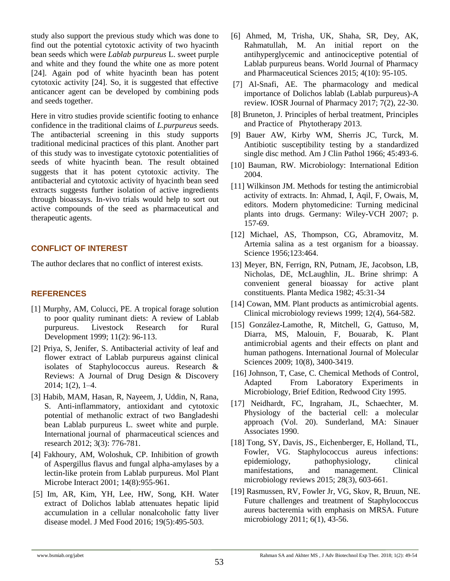study also support the previous study which was done to find out the potential cytotoxic activity of two hyacinth bean seeds which were *Lablab purpureus* L. sweet purple and white and they found the white one as more potent [24]. Again pod of white hyacinth bean has potent cytotoxic activity [24]. So, it is suggested that effective anticancer agent can be developed by combining pods and seeds together.

Here in vitro studies provide scientific footing to enhance confidence in the traditional claims of *L.purpureus* seeds. The antibacterial screening in this study supports traditional medicinal practices of this plant. Another part of this study was to investigate cytotoxic potentialities of seeds of white hyacinth bean. The result obtained suggests that it has potent cytotoxic activity. The antibacterial and cytotoxic activity of hyacinth bean seed extracts suggests further isolation of active ingredients through bioassays. In-vivo trials would help to sort out active compounds of the seed as pharmaceutical and therapeutic agents.

# **CONFLICT OF INTEREST**

The author declares that no conflict of interest exists.

# **REFERENCES**

- [1] Murphy, AM, Colucci, PE. A tropical forage solution to poor quality ruminant diets: A review of Lablab purpureus. Livestock Research for Rural Development 1999; 11(2): 96-113.
- [2] Priya, S, Jenifer, S. Antibacterial activity of leaf and flower extract of Lablab purpureus against clinical isolates of Staphylococcus aureus. Research & Reviews: A Journal of Drug Design & Discovery 2014; 1(2), 1–4.
- [3] Habib, MAM, Hasan, R, Nayeem, J, Uddin, N, Rana, S. Anti-inflammatory, antioxidant and cytotoxic potential of methanolic extract of two Bangladeshi bean Lablab purpureus L. sweet white and purple. International journal of pharmaceutical sciences and research 2012; 3(3): 776-781.
- [4] Fakhoury, AM, Woloshuk, CP. Inhibition of growth of Aspergillus flavus and fungal alpha-amylases by a lectin-like protein from Lablab purpureus. Mol Plant Microbe Interact 2001; 14(8):955-961.
- [5] Im, AR, Kim, YH, Lee, HW, Song, KH. Water extract of Dolichos lablab attenuates hepatic lipid accumulation in a cellular nonalcoholic fatty liver disease model. J Med Food 2016; 19(5):495-503.
- [6] Ahmed, M, Trisha, UK, Shaha, SR, Dey, AK, Rahmatullah, M. An initial report on the antihyperglycemic and antinociceptive potential of Lablab purpureus beans. World Journal of Pharmacy and Pharmaceutical Sciences 2015; 4(10): 95-105.
- [7] Al-Snafi, AE. The pharmacology and medical importance of Dolichos lablab (Lablab purpureus)-A review. IOSR Journal of Pharmacy 2017; 7(2), 22-30.
- [8] Bruneton, J. Principles of herbal treatment, Principles and Practice of Phytotherapy 2013.
- [9] Bauer AW, Kirby WM, Sherris JC, Turck, M. Antibiotic susceptibility testing by a standardized single disc method. Am J Clin Pathol 1966; 45:493-6.
- [10] Bauman, RW. Microbiology: International Edition 2004.
- [11] Wilkinson JM. Methods for testing the antimicrobial activity of extracts. In: Ahmad, I, Aqil, F, Owais, M, editors. Modern phytomedicine: Turning medicinal plants into drugs. Germany: Wiley-VCH 2007; p. 157-69.
- [12] Michael, AS, Thompson, CG, Abramovitz, M. Artemia salina as a test organism for a bioassay. Science 1956;123:464.
- 13] Meyer, BN, Ferrign, RN, Putnam, JE, Jacobson, LB, Nicholas, DE, McLaughlin, JL. Brine shrimp: A convenient general bioassay for active plant constituents. Planta Medica 1982; 45:31-34
- [14] Cowan, MM. Plant products as antimicrobial agents. Clinical microbiology reviews 1999; 12(4), 564-582.
- [15] González-Lamothe, R, Mitchell, G, Gattuso, M, Diarra, MS, Malouin, F, Bouarab, K. Plant antimicrobial agents and their effects on plant and human pathogens. International Journal of Molecular Sciences 2009; 10(8), 3400-3419.
- [16] Johnson, T, Case, C. Chemical Methods of Control, Adapted From Laboratory Experiments in Microbiology, Brief Edition, Redwood City 1995.
- [17] Neidhardt, FC, Ingraham, JL, Schaechter, M. Physiology of the bacterial cell: a molecular approach (Vol. 20). Sunderland, MA: Sinauer Associates 1990.
- [18] Tong, SY, Davis, JS., Eichenberger, E, Holland, TL, Fowler, VG. Staphylococcus aureus infections: epidemiology, pathophysiology, clinical manifestations, and management. Clinical microbiology reviews 2015; 28(3), 603-661.
- [19] Rasmussen, RV, Fowler Jr, VG, Skov, R, Bruun, NE. Future challenges and treatment of Staphylococcus aureus bacteremia with emphasis on MRSA. Future microbiology 2011; 6(1), 43-56.